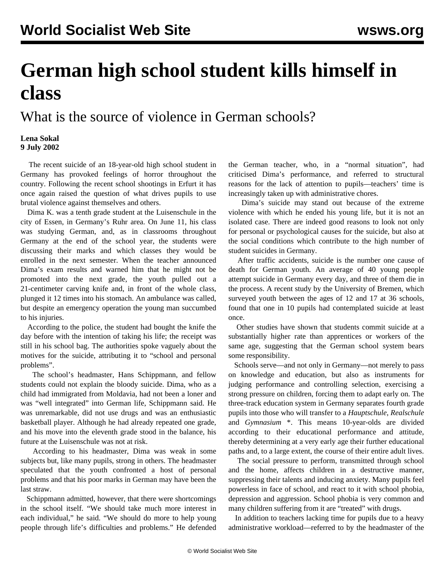## **German high school student kills himself in class**

What is the source of violence in German schools?

## **Lena Sokal 9 July 2002**

 The recent suicide of an 18-year-old high school student in Germany has provoked feelings of horror throughout the country. Following the recent school shootings in Erfurt it has once again raised the question of what drives pupils to use brutal violence against themselves and others.

 Dima K. was a tenth grade student at the Luisenschule in the city of Essen, in Germany's Ruhr area. On June 11, his class was studying German, and, as in classrooms throughout Germany at the end of the school year, the students were discussing their marks and which classes they would be enrolled in the next semester. When the teacher announced Dima's exam results and warned him that he might not be promoted into the next grade, the youth pulled out a 21-centimeter carving knife and, in front of the whole class, plunged it 12 times into his stomach. An ambulance was called, but despite an emergency operation the young man succumbed to his injuries.

 According to the police, the student had bought the knife the day before with the intention of taking his life; the receipt was still in his school bag. The authorities spoke vaguely about the motives for the suicide, attributing it to "school and personal problems".

 The school's headmaster, Hans Schippmann, and fellow students could not explain the bloody suicide. Dima, who as a child had immigrated from Moldavia, had not been a loner and was "well integrated" into German life, Schippmann said. He was unremarkable, did not use drugs and was an enthusiastic basketball player. Although he had already repeated one grade, and his move into the eleventh grade stood in the balance, his future at the Luisenschule was not at risk.

 According to his headmaster, Dima was weak in some subjects but, like many pupils, strong in others. The headmaster speculated that the youth confronted a host of personal problems and that his poor marks in German may have been the last straw.

 Schippmann admitted, however, that there were shortcomings in the school itself. "We should take much more interest in each individual," he said. "We should do more to help young people through life's difficulties and problems." He defended the German teacher, who, in a "normal situation", had criticised Dima's performance, and referred to structural reasons for the lack of attention to pupils—teachers' time is increasingly taken up with administrative chores.

 Dima's suicide may stand out because of the extreme violence with which he ended his young life, but it is not an isolated case. There are indeed good reasons to look not only for personal or psychological causes for the suicide, but also at the social conditions which contribute to the high number of student suicides in Germany.

 After traffic accidents, suicide is the number one cause of death for German youth. An average of 40 young people attempt suicide in Germany every day, and three of them die in the process. A recent study by the University of Bremen, which surveyed youth between the ages of 12 and 17 at 36 schools, found that one in 10 pupils had contemplated suicide at least once.

 Other studies have shown that students commit suicide at a substantially higher rate than apprentices or workers of the same age, suggesting that the German school system bears some responsibility.

 Schools serve—and not only in Germany—not merely to pass on knowledge and education, but also as instruments for judging performance and controlling selection, exercising a strong pressure on children, forcing them to adapt early on. The three-track education system in Germany separates fourth grade pupils into those who will transfer to a *Hauptschule*, *Realschule* and *Gymnasium* \*. This means 10-year-olds are divided according to their educational performance and attitude, thereby determining at a very early age their further educational paths and, to a large extent, the course of their entire adult lives.

 The social pressure to perform, transmitted through school and the home, affects children in a destructive manner, suppressing their talents and inducing anxiety. Many pupils feel powerless in face of school, and react to it with school phobia, depression and aggression. School phobia is very common and many children suffering from it are "treated" with drugs.

 In addition to teachers lacking time for pupils due to a heavy administrative workload—referred to by the headmaster of the